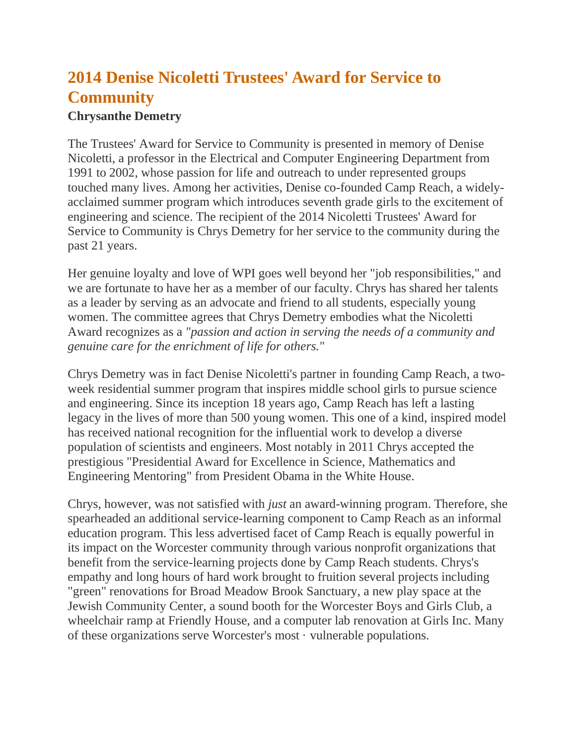## **2014 Denise Nicoletti Trustees' Award for Service to Community**

## **Chrysanthe Demetry**

The Trustees' Award for Service to Community is presented in memory of Denise Nicoletti, a professor in the Electrical and Computer Engineering Department from 1991 to 2002, whose passion for life and outreach to under represented groups touched many lives. Among her activities, Denise co-founded Camp Reach, a widelyacclaimed summer program which introduces seventh grade girls to the excitement of engineering and science. The recipient of the 2014 Nicoletti Trustees' Award for Service to Community is Chrys Demetry for her service to the community during the past 21 years.

Her genuine loyalty and love of WPI goes well beyond her "job responsibilities," and we are fortunate to have her as a member of our faculty. Chrys has shared her talents as a leader by serving as an advocate and friend to all students, especially young women. The committee agrees that Chrys Demetry embodies what the Nicoletti Award recognizes as a *"passion and action in serving the needs of a community and genuine care for the enrichment of life for others."*

Chrys Demetry was in fact Denise Nicoletti's partner in founding Camp Reach, a twoweek residential summer program that inspires middle school girls to pursue science and engineering. Since its inception 18 years ago, Camp Reach has left a lasting legacy in the lives of more than 500 young women. This one of a kind, inspired model has received national recognition for the influential work to develop a diverse population of scientists and engineers. Most notably in 2011 Chrys accepted the prestigious "Presidential Award for Excellence in Science, Mathematics and Engineering Mentoring" from President Obama in the White House.

Chrys, however, was not satisfied with *just* an award-winning program. Therefore, she spearheaded an additional service-learning component to Camp Reach as an informal education program. This less advertised facet of Camp Reach is equally powerful in its impact on the Worcester community through various nonprofit organizations that benefit from the service-learning projects done by Camp Reach students. Chrys's empathy and long hours of hard work brought to fruition several projects including "green" renovations for Broad Meadow Brook Sanctuary, a new play space at the Jewish Community Center, a sound booth for the Worcester Boys and Girls Club, a wheelchair ramp at Friendly House, and a computer lab renovation at Girls Inc. Many of these organizations serve Worcester's most · vulnerable populations.